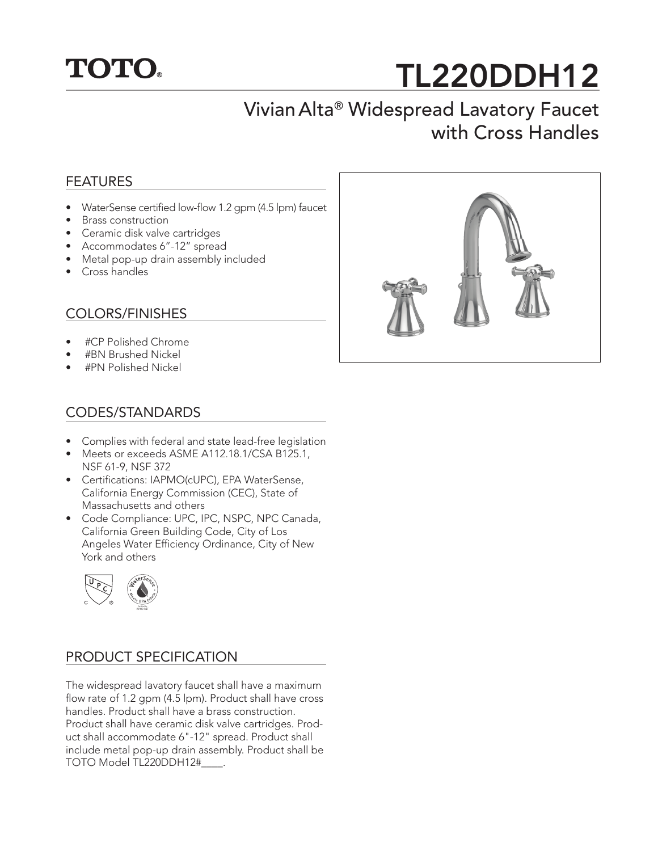

# TL220DDH12

# Vivian Alta® Widespread Lavatory Faucet with Cross Handles

#### FEATURES

- WaterSense certified low-flow 1.2 gpm (4.5 lpm) faucet
- Brass construction
- Ceramic disk valve cartridges
- Accommodates 6"-12" spread
- Metal pop-up drain assembly included
- Cross handles

#### COLORS/FINISHES

- #CP Polished Chrome
- #BN Brushed Nickel
- #PN Polished Nickel

## CODES/STANDARDS

- Complies with federal and state lead-free legislation
- Meets or exceeds ASME A112.18.1/CSA B125.1, NSF 61-9, NSF 372
- Certifications: IAPMO(cUPC), EPA WaterSense, California Energy Commission (CEC), State of Massachusetts and others
- Code Compliance: UPC, IPC, NSPC, NPC Canada, California Green Building Code, City of Los Angeles Water Efficiency Ordinance, City of New York and others



### PRODUCT SPECIFICATION

The widespread lavatory faucet shall have a maximum flow rate of 1.2 gpm (4.5 lpm). Product shall have cross handles. Product shall have a brass construction. Product shall have ceramic disk valve cartridges. Product shall accommodate 6"-12" spread. Product shall include metal pop-up drain assembly. Product shall be TOTO Model TL220DDH12#\_\_\_\_.